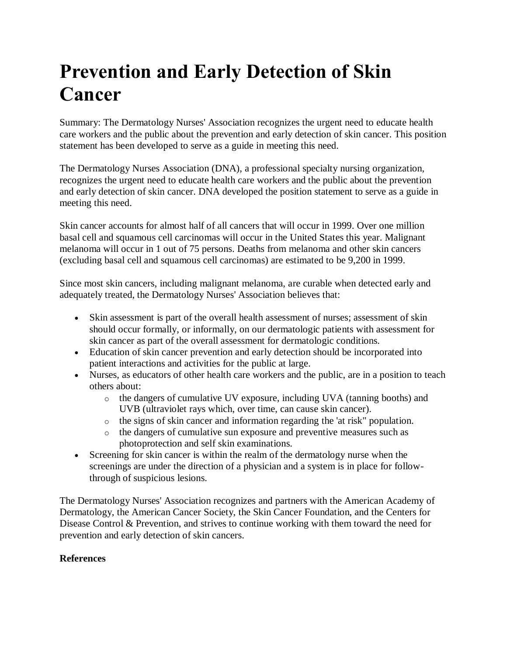## **Prevention and Early Detection of Skin Cancer**

Summary: The Dermatology Nurses' Association recognizes the urgent need to educate health care workers and the public about the prevention and early detection of skin cancer. This position statement has been developed to serve as a guide in meeting this need.

The Dermatology Nurses Association (DNA), a professional specialty nursing organization, recognizes the urgent need to educate health care workers and the public about the prevention and early detection of skin cancer. DNA developed the position statement to serve as a guide in meeting this need.

Skin cancer accounts for almost half of all cancers that will occur in 1999. Over one million basal cell and squamous cell carcinomas will occur in the United States this year. Malignant melanoma will occur in 1 out of 75 persons. Deaths from melanoma and other skin cancers (excluding basal cell and squamous cell carcinomas) are estimated to be 9,200 in 1999.

Since most skin cancers, including malignant melanoma, are curable when detected early and adequately treated, the Dermatology Nurses' Association believes that:

- Skin assessment is part of the overall health assessment of nurses; assessment of skin should occur formally, or informally, on our dermatologic patients with assessment for skin cancer as part of the overall assessment for dermatologic conditions.
- Education of skin cancer prevention and early detection should be incorporated into patient interactions and activities for the public at large.
- Nurses, as educators of other health care workers and the public, are in a position to teach others about:
	- o the dangers of cumulative UV exposure, including UVA (tanning booths) and UVB (ultraviolet rays which, over time, can cause skin cancer).
	- o the signs of skin cancer and information regarding the 'at risk" population.
	- o the dangers of cumulative sun exposure and preventive measures such as photoprotection and self skin examinations.
- Screening for skin cancer is within the realm of the dermatology nurse when the screenings are under the direction of a physician and a system is in place for followthrough of suspicious lesions.

The Dermatology Nurses' Association recognizes and partners with the American Academy of Dermatology, the American Cancer Society, the Skin Cancer Foundation, and the Centers for Disease Control & Prevention, and strives to continue working with them toward the need for prevention and early detection of skin cancers.

## **References**